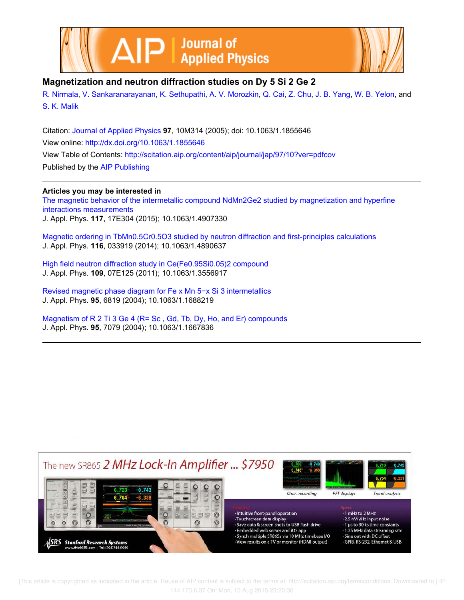



## **Magnetization and neutron diffraction studies on Dy 5 Si 2 Ge 2**

R. Nirmala, V. Sankaranarayanan, K. Sethupathi, A. V. Morozkin, Q. Cai, Z. Chu, J. B. Yang, W. B. Yelon, and S. K. Malik

Citation: Journal of Applied Physics **97**, 10M314 (2005); doi: 10.1063/1.1855646 View online: http://dx.doi.org/10.1063/1.1855646 View Table of Contents: http://scitation.aip.org/content/aip/journal/jap/97/10?ver=pdfcov Published by the AIP Publishing

### **Articles you may be interested in**

The magnetic behavior of the intermetallic compound NdMn2Ge2 studied by magnetization and hyperfine interactions measurements J. Appl. Phys. **117**, 17E304 (2015); 10.1063/1.4907330

Magnetic ordering in TbMn0.5Cr0.5O3 studied by neutron diffraction and first-principles calculations J. Appl. Phys. **116**, 033919 (2014); 10.1063/1.4890637

High field neutron diffraction study in Ce(Fe0.95Si0.05)2 compound J. Appl. Phys. **109**, 07E125 (2011); 10.1063/1.3556917

Revised magnetic phase diagram for Fe x Mn 5−x Si 3 intermetallics J. Appl. Phys. **95**, 6819 (2004); 10.1063/1.1688219

Magnetism of R 2 Ti 3 Ge 4 (R= Sc , Gd, Tb, Dy, Ho, and Er) compounds J. Appl. Phys. **95**, 7079 (2004); 10.1063/1.1667836



 [This article is copyrighted as indicated in the article. Reuse of AIP content is subject to the terms at: http://scitation.aip.org/termsconditions. Downloaded to ] IP: 144.173.6.37 On: Mon, 10 Aug 2015 23:20:36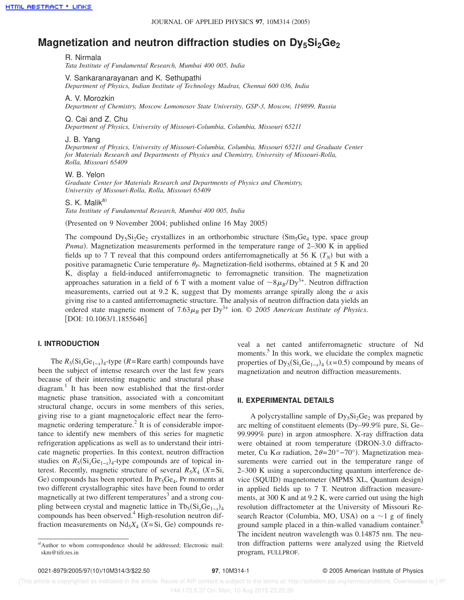# **Magnetization and neutron diffraction studies on Dy<sub>5</sub>Si<sub>2</sub>Ge**<sub>2</sub>

R. Nirmala

*Tata Institute of Fundamental Research, Mumbai 400 005, India*

V. Sankaranarayanan and K. Sethupathi *Department of Physics, Indian Institute of Technology Madras, Chennai 600 036, India*

#### A. V. Morozkin

*Department of Chemistry, Moscow Lomonosov State University, GSP-3, Moscow, 119899, Russia*

#### Q. Cai and Z. Chu

*Department of Physics, University of Missouri-Columbia, Columbia, Missouri 65211*

#### J. B. Yang

*Department of Physics, University of Missouri-Columbia, Columbia, Missouri 65211 and Graduate Center for Materials Research and Departments of Physics and Chemistry, University of Missouri-Rolla, Rolla, Missouri 65409*

#### W. B. Yelon

*Graduate Center for Materials Research and Departments of Physics and Chemistry, University of Missouri-Rolla, Rolla, Missouri 65409*

S. K. Malik<sup>a)</sup>

*Tata Institute of Fundamental Research, Mumbai 400 005, India*

(Presented on 9 November 2004; published online 16 May 2005)

The compound  $Dy_5Si_2Ge_2$  crystallizes in an orthorhombic structure  $(Sm_5Ge_4$  type, space group *Pnma*). Magnetization measurements performed in the temperature range of 2-300 K in applied fields up to 7 T reveal that this compound orders antiferromagnetically at 56 K  $(T_N)$  but with a positive paramagnetic Curie temperature  $\theta_p$ . Magnetization-field isotherms, obtained at 5 K and 20 K, display a field-induced antiferromagnetic to ferromagnetic transition. The magnetization approaches saturation in a field of 6 T with a moment value of  $\sim 8\mu_B/Dy^{3+}$ . Neutron diffraction measurements, carried out at 9.2 K, suggest that Dy moments arrange spirally along the *a* axis giving rise to a canted antiferromagnetic structure. The analysis of neutron diffraction data yields an ordered state magnetic moment of  $7.63\mu_B$  per Dy<sup>3+</sup> ion. © 2005 American Institute of Physics.  $[DOI: 10.1063/1.1855646]$ 

#### **I. INTRODUCTION**

The  $R_5$ ( $Si_x$  $Ge_{1-x}$ )<sub>4</sub>-type ( $R$ =Rare earth) compounds have been the subject of intense research over the last few years because of their interesting magnetic and structural phase diagram.<sup>1</sup> It has been now established that the first-order magnetic phase transition, associated with a concomitant structural change, occurs in some members of this series, giving rise to a giant magnetocaloric effect near the ferromagnetic ordering temperature.<sup>2</sup> It is of considerable importance to identify new members of this series for magnetic refrigeration applications as well as to understand their intricate magnetic properties. In this context, neutron diffraction studies on  $R_5$ ( $Si_xGe_{1-x}$ )<sub>4</sub>-type compounds are of topical interest. Recently, magnetic structure of several  $R_5X_4$  ( $X = Si$ , Ge) compounds has been reported. In Pr<sub>5</sub>Ge<sub>4</sub>, Pr moments at two different crystallographic sites have been found to order magnetically at two different temperatures<sup>3</sup> and a strong coupling between crystal and magnetic lattice in  $Tb_5(Si_xGe_{1-x})_4$ compounds has been observed.<sup>4</sup> High-resolution neutron diffraction measurements on  $Nd_5X_4$  (*X*=Si, Ge) compounds reveal a net canted antiferromagnetic structure of Nd moments.<sup>5</sup> In this work, we elucidate the complex magnetic properties of  $Dy_5(Si_xGe_{1-x})_4$  (*x*=0.5) compound by means of magnetization and neutron diffraction measurements.

#### **II. EXPERIMENTAL DETAILS**

A polycrystalline sample of  $Dy_5Si_2Ge_2$  was prepared by arc melting of constituent elements (Dy–99.9% pure, Si, Ge– 99.999% pure) in argon atmosphere. X-ray diffraction data were obtained at room temperature (DRON-3.0 diffractometer, Cu K $\alpha$  radiation, 2 $\theta = 20^{\circ} - 70^{\circ}$ ). Magnetization measurements were carried out in the temperature range of 2–300 K using a superconducting quantum interference device (SQUID) magnetometer (MPMS XL, Quantum design) in applied fields up to 7 T. Neutron diffraction measurements, at 300 K and at 9.2 K, were carried out using the high resolution diffractometer at the University of Missouri Research Reactor (Columbia, MO, USA) on a  $\sim$ 1 g of finely ground sample placed in a thin-walled vanadium container.<sup>6</sup> The incident neutron wavelength was 0.14875 nm. The neutron diffraction patterns were analyzed using the Rietveld program, FULLPROF.

a)Author to whom correspondence should be addressed; Electronic mail: skm@tifr.res.in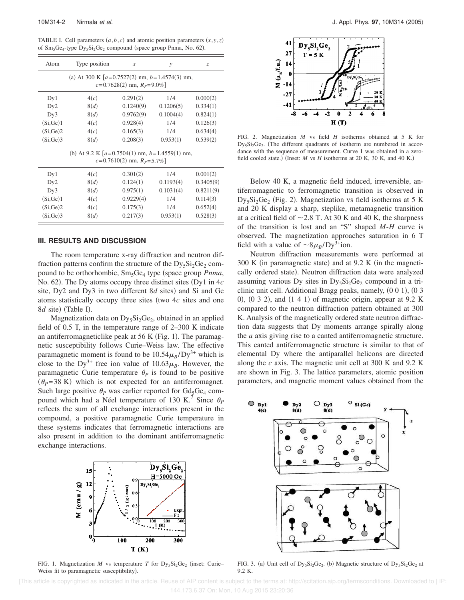TABLE I. Cell parameters  $(a, b, c)$  and atomic position parameters  $(x, y, z)$ of  $Sm_5Ge_4$ -type  $Dy_5Si_2Ge_2$  compound (space group Pnma, No. 62).

| Atom                                                                                   | Type position | $\boldsymbol{x}$<br>$\mathcal{V}$ |           | Z.        |  |  |  |
|----------------------------------------------------------------------------------------|---------------|-----------------------------------|-----------|-----------|--|--|--|
| (a) At 300 K $[a=0.7527(2)$ nm, $b=1.4574(3)$ nm,<br>$c = 0.7628(2)$ nm, $R_F = 9.0\%$ |               |                                   |           |           |  |  |  |
| Dy1                                                                                    | 4(c)          | 0.291(2)                          | 1/4       | 0.000(2)  |  |  |  |
| Dy2                                                                                    | 8(d)          | 0.1240(9)                         | 0.1206(5) | 0.334(1)  |  |  |  |
| Dy3                                                                                    | 8(d)          | 0.9762(9)                         | 0.1004(4) | 0.824(1)  |  |  |  |
| (Si, Ge)1                                                                              | 4(c)          | 0.928(4)                          | 1/4       | 0.126(3)  |  |  |  |
| (Si, Ge)2                                                                              | 4(c)          | 0.165(3)                          | 1/4       | 0.634(4)  |  |  |  |
| (Si.Ge)3                                                                               | 8(d)          | 0.208(3)                          | 0.953(1)  | 0.539(2)  |  |  |  |
| (b) At 9.2 K $[a=0.7504(1)$ nm, $b=1.4559(1)$ nm,<br>$c = 0.7610(2)$ nm, $R_F = 5.7\%$ |               |                                   |           |           |  |  |  |
| Dy1                                                                                    | 4(c)          | 0.301(2)                          | 1/4       | 0.001(2)  |  |  |  |
| Dy2                                                                                    | 8(d)          | 0.124(1)                          | 0.1193(4) | 0.3405(9) |  |  |  |

| Dv2       | 8(d) | 0.124(1)  | 0.1193(4) | 0.3405(9) |  |
|-----------|------|-----------|-----------|-----------|--|
| Dv3       | 8(d) | 0.975(1)  | 0.1031(4) | 0.8211(9) |  |
| (Si, Ge)1 | 4(c) | 0.9229(4) | 1/4       | 0.114(3)  |  |
| (Si, Ge)2 | 4(c) | 0.175(3)  | 1/4       | 0.652(4)  |  |
| (Si, Ge)3 | 8(d) | 0.217(3)  | 0.953(1)  | 0.528(3)  |  |
|           |      |           |           |           |  |

#### **III. RESULTS AND DISCUSSION**

The room temperature x-ray diffraction and neutron diffraction patterns confirm the structure of the  $Dy_5Si_2Ge_2$  compound to be orthorhombic, Sm<sub>5</sub>Ge<sub>4</sub> type (space group *Pnma*, No. 62). The Dy atoms occupy three distinct sites (Dy1 in  $4c$ site, Dy2 and Dy3 in two different 8*d* sites) and Si and Ge atoms statistically occupy three sites (two 4*c* sites and one 8*d* site) (Table I).

Magnetization data on  $Dy_5Si_2Ge_2$ , obtained in an applied field of 0.5 T, in the temperature range of 2–300 K indicate an antiferromagneticlike peak at  $56$  K (Fig. 1). The paramagnetic susceptibility follows Curie–Weiss law. The effective paramagnetic moment is found to be  $10.54\mu_B/Dy^{3+}$  which is close to the Dy<sup>3+</sup> free ion value of  $10.63\mu$ <sub>B</sub>. However, the paramagnetic Curie temperature  $\theta_p$  is found to be positive  $(\theta_p=38 \text{ K})$  which is not expected for an antiferromagnet. Such large positive  $\theta_P$  was earlier reported for  $Gd_5Ge_4$  compound which had a Néel temperature of 130 K.<sup>7</sup> Since  $\theta_P$ reflects the sum of all exchange interactions present in the compound, a positive paramagnetic Curie temperature in these systems indicates that ferromagnetic interactions are also present in addition to the dominant antiferromagnetic exchange interactions.



FIG. 1. Magnetization *M* vs temperature *T* for  $Dy_5Si_2Ge_2$  (inset: Curie– Weiss fit to paramagnetic susceptibility).



FIG. 2. Magnetization *M* vs field *H* isotherms obtained at 5 K for  $Dy_5Si_2Ge_2$ . (The different quadrants of isotherm are numbered in accordance with the sequence of measurement. Curve 1 was obtained in a zerofield cooled state.) (Inset:  $M$  vs  $H$  isotherms at 20 K, 30 K, and 40 K.)

Below 40 K, a magnetic field induced, irreversible, antiferromagnetic to ferromagnetic transition is observed in  $Dy_5Si_2Ge_2$  (Fig. 2). Magnetization vs field isotherms at 5 K and 20 K display a sharp, steplike, metamagnetic transition at a critical field of  $\sim$  2.8 T. At 30 K and 40 K, the sharpness of the transition is lost and an "S" shaped *M*-*H* curve is observed. The magnetization approaches saturation in 6 T field with a value of  $\sim 8\mu_B/Dy^{3+}$ ion.

Neutron diffraction measurements were performed at  $300 \text{ K}$  (in paramagnetic state) and at 9.2 K (in the magnetically ordered state). Neutron diffraction data were analyzed assuming various Dy sites in  $Dy_5Si_2Ge_2$  compound in a triclinic unit cell. Additional Bragg peaks, namely,  $(0\ 0\ 1)$ ,  $(0\ 3\ 1)$ 0),  $(0, 3, 2)$ , and  $(1, 4, 1)$  of magnetic origin, appear at 9.2 K compared to the neutron diffraction pattern obtained at 300 K. Analysis of the magnetically ordered state neutron diffraction data suggests that Dy moments arrange spirally along the *a* axis giving rise to a canted antiferromagnetic structure. This canted antiferromagnetic structure is similar to that of elemental Dy where the antiparallel helicons are directed along the *c* axis. The magnetic unit cell at 300 K and 9.2 K are shown in Fig. 3. The lattice parameters, atomic position parameters, and magnetic moment values obtained from the



FIG. 3. (a) Unit cell of  $Dy_5Si_2Ge_2$ . (b) Magnetic structure of  $Dy_5Si_2Ge_2$  at 9.2 K.

 [This article is copyrighted as indicated in the article. Reuse of AIP content is subject to the terms at: http://scitation.aip.org/termsconditions. Downloaded to ] IP: 144.173.6.37 On: Mon, 10 Aug 2015 23:20:36